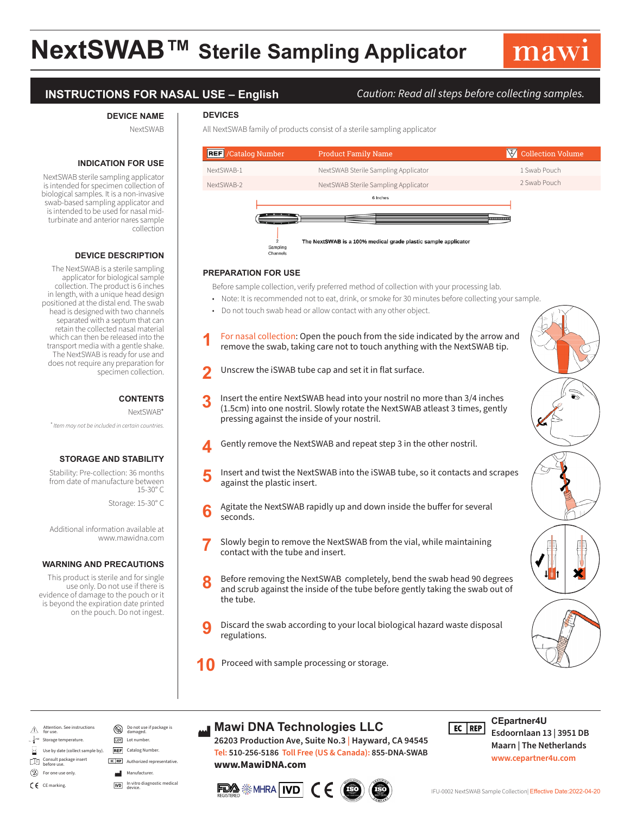# **NextSWAB™ Sterile Sampling Applicator**

**DEVICES** 

### **INSTRUCTIONS FOR NASAL USE – English** *Caution: Read all steps before collecting samples.*

#### **DEVICE NAME**

NextSWAB

### **INDICATION FOR USE**

NextSWAB sterile sampling applicator is intended for specimen collection of biological samples. It is a non-invasive swab-based sampling applicator and is intended to be used for nasal midturbinate and anterior nares sample collection

#### **DEVICE DESCRIPTION**

The NextSWAB is a sterile sampling applicator for biological sample collection. The product is 6 inches in length, with a unique head design positioned at the distal end. The swab head is designed with two channels separated with a septum that can retain the collected nasal material which can then be released into the transport media with a gentle shake. The NextSWAB is ready for use and does not require any preparation for specimen collection.

#### **CONTENTS**

NextSWAB\*

*\* Item may not be included in certain countries.*

#### **STORAGE AND STABILITY**

Stability: Pre-collection: 36 months from date of manufacture between 15-30° C

Storage: 15-30° C

Additional information available at www.mawidna.com

#### **WARNING AND PRECAUTIONS**

This product is sterile and for single use only. Do not use if there is evidence of damage to the pouch or it is beyond the expiration date printed on the pouch. Do not ingest.

| <b>REF</b> /Catalog Number |                      | <b>Product Family Name</b>                                     | $\sqrt{2}/$ | <b>Collection Volume</b> |
|----------------------------|----------------------|----------------------------------------------------------------|-------------|--------------------------|
| NextSWAB-1                 |                      | NextSWAB Sterile Sampling Applicator                           |             | 1 Swab Pouch             |
| NextSWAB-2                 |                      | NextSWAB Sterile Sampling Applicator                           |             | 2 Swab Pouch             |
|                            |                      | 6 Inches                                                       |             |                          |
|                            |                      | ------------------                                             |             |                          |
|                            | Sampling<br>Channels | The NextSWAB is a 100% medical grade plastic sample applicator |             |                          |

#### **PREPARATION FOR USE**

Before sample collection, verify preferred method of collection with your processing lab.

- Note: It is recommended not to eat, drink, or smoke for 30 minutes before collecting your sample.
- Do not touch swab head or allow contact with any other object.

All NextSWAB family of products consist of a sterile sampling applicator

- **1** For nasal collection: Open the pouch from the side indicated by the arrow and remove the swab, taking care not to touch anything with the NextSWAB tip.
- **2** Unscrew the iSWAB tube cap and set it in flat surface.
- **3** Insert the entire NextSWAB head into your nostril no more than 3/4 inches (1.5cm) into one nostril. Slowly rotate the NextSWAB atleast 3 times, gently pressing against the inside of your nostril.
- **4** Gently remove the NextSWAB and repeat step 3 in the other nostril.
- **5** Insert and twist the NextSWAB into the iSWAB tube, so it contacts and scrapes against the plastic insert.
- **6** Agitate the NextSWAB rapidly up and down inside the buffer for several seconds.
- **7** Slowly begin to remove the NextSWAB from the vial, while maintaining contact with the tube and insert.
- **8** Before removing the NextSWAB completely, bend the swab head 90 degrees and scrub against the inside of the tube before gently taking the swab out of the tube.
- **9** Discard the swab according to your local biological hazard waste disposal regulations.



**10** Proceed with sample processing or storage.



- 不 Attention. See instructions for use.
- Storage temperature.
- Use by date (collect sample by).
- ult package insert ГI before use.
- $^{\circledR}$
- CE CE marking.
- EC REP Authorized representative Manufacturer

LOT Lot number.

**REF** Catalog Number.

Do not use if package is damaged.

In vitro diagnostic medical device.

## **Mawi DNA Technologies LLC**

**26203 Production Ave, Suite No.3 | Hayward, CA 94545 Tel: 510-256-5186 Toll Free (US & Canada): 855-DNA-SWAB www.MawiDNA.com**





#### **CEpartner4U**  $FC | REP$

**Esdoornlaan 13 | 3951 DB Maarn | The Netherlands www.cepartner4u.com**